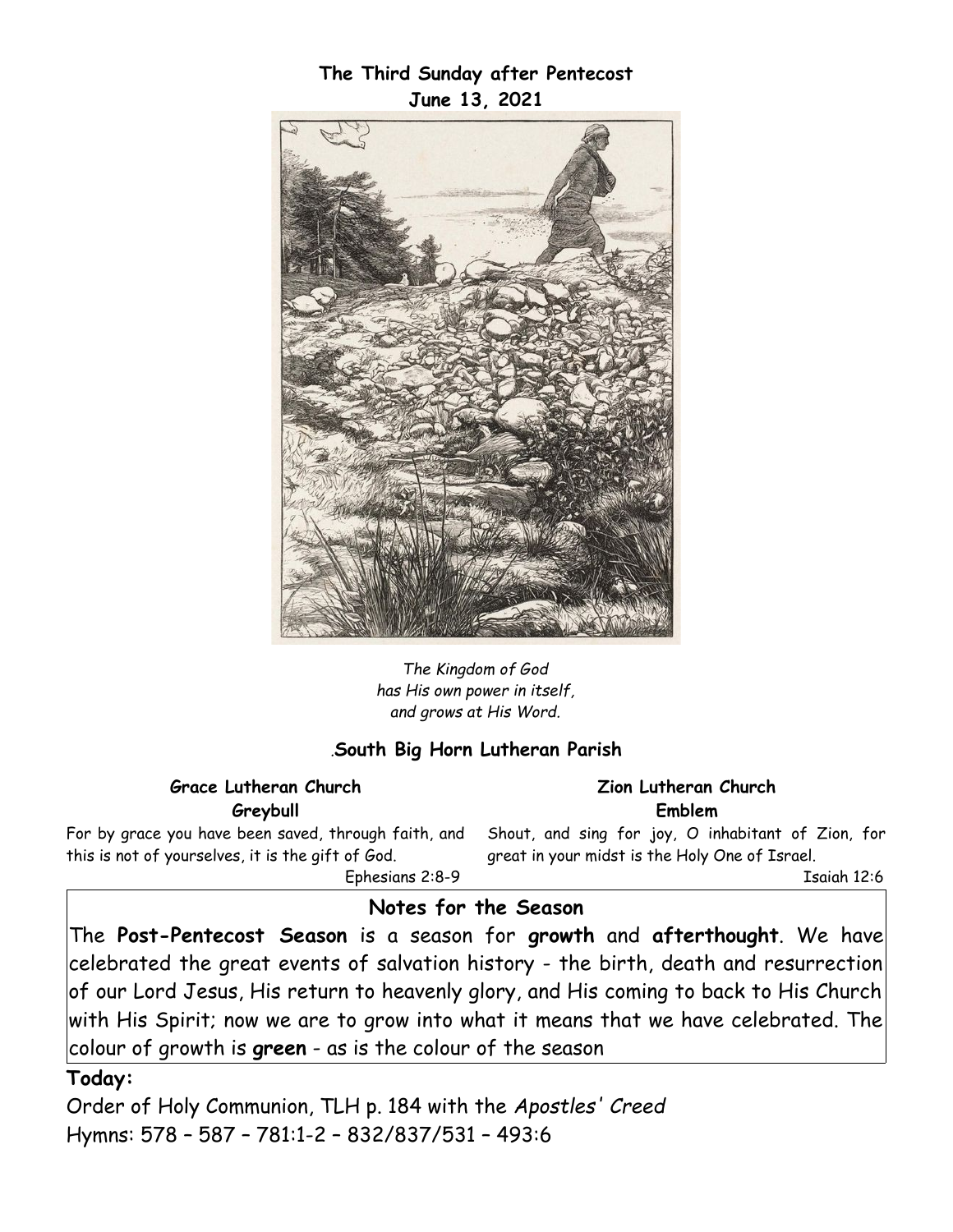## **The Third Sunday after Pentecost June 13, 2021**



*The Kingdom of God has His own power in itself, and grows at His Word.*

## *.***South Big Horn Lutheran Parish**

#### **Grace Lutheran Church Greybull**

For by grace you have been saved, through faith, and this is not of yourselves, it is the gift of God. Ephesians 2:8-9

**Zion Lutheran Church Emblem**

Shout, and sing for joy, O inhabitant of Zion, for great in your midst is the Holy One of Israel.

Isaiah 12:6

## **Notes for the Season**

The **Post-Pentecost Season** is a season for **growth** and **afterthought**. We have celebrated the great events of salvation history - the birth, death and resurrection of our Lord Jesus, His return to heavenly glory, and His coming to back to His Church with His Spirit; now we are to grow into what it means that we have celebrated. The colour of growth is **green** - as is the colour of the season

#### **Today:**

Order of Holy Communion, TLH p. 184 with the *Apostles' Creed*  Hymns: 578 – 587 – 781:1-2 – 832/837/531 – 493:6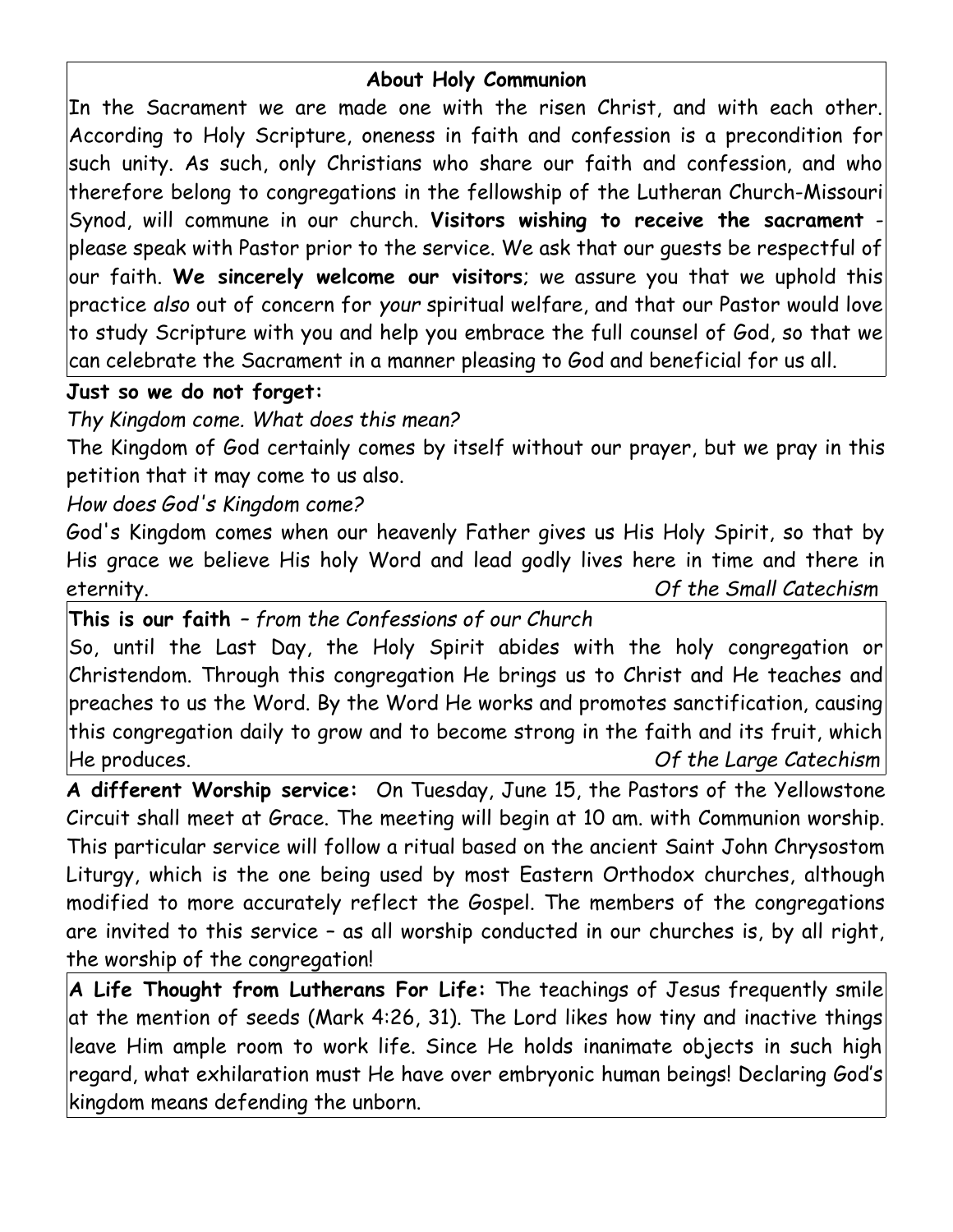# **About Holy Communion**

In the Sacrament we are made one with the risen Christ, and with each other. According to Holy Scripture, oneness in faith and confession is a precondition for such unity. As such, only Christians who share our faith and confession, and who therefore belong to congregations in the fellowship of the Lutheran Church-Missouri Synod, will commune in our church. **Visitors wishing to receive the sacrament** -  $|{\sf please}$  speak with Pastor prior to the service. We ask that our guests be respectful of $|$ our faith. **We sincerely welcome our visitors**; we assure you that we uphold this practice *also* out of concern for *your* spiritual welfare, and that our Pastor would love to study Scripture with you and help you embrace the full counsel of God, so that we can celebrate the Sacrament in a manner pleasing to God and beneficial for us all.

## **Just so we do not forget:**

*Thy Kingdom come. What does this mean?*

The Kingdom of God certainly comes by itself without our prayer, but we pray in this petition that it may come to us also.

*How does God's Kingdom come?*

God's Kingdom comes when our heavenly Father gives us His Holy Spirit, so that by His grace we believe His holy Word and lead godly lives here in time and there in eternity. *Of the Small Catechism*

**This is our faith** *– from the Confessions of our Church*

So, until the Last Day, the Holy Spirit abides with the holy congregation or Christendom. Through this congregation He brings us to Christ and He teaches and preaches to us the Word. By the Word He works and promotes sanctification, causing this congregation daily to grow and to become strong in the faith and its fruit, which He produces. *Of the Large Catechism*

**A different Worship service:** On Tuesday, June 15, the Pastors of the Yellowstone Circuit shall meet at Grace. The meeting will begin at 10 am. with Communion worship. This particular service will follow a ritual based on the ancient Saint John Chrysostom Liturgy, which is the one being used by most Eastern Orthodox churches, although modified to more accurately reflect the Gospel. The members of the congregations are invited to this service – as all worship conducted in our churches is, by all right, the worship of the congregation!

**A Life Thought from Lutherans For Life:** The teachings of Jesus frequently smile at the mention of seeds (Mark 4:26, 31). The Lord likes how tiny and inactive things leave Him ample room to work life. Since He holds inanimate objects in such high regard, what exhilaration must He have over embryonic human beings! Declaring God's kingdom means defending the unborn.